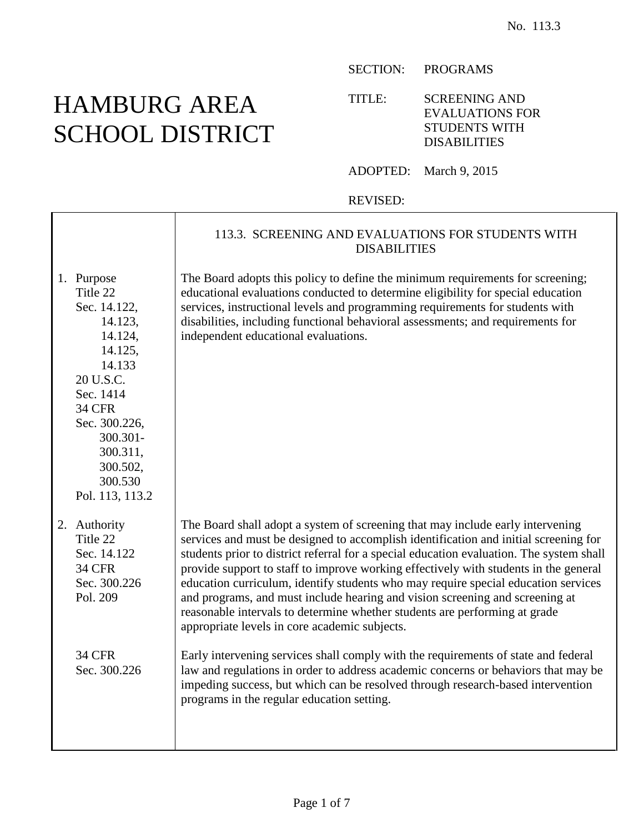## HAMBURG AREA SCHOOL DISTRICT

SECTION: PROGRAMS

TITLE: SCREENING AND EVALUATIONS FOR STUDENTS WITH DISABILITIES

ADOPTED: March 9, 2015

REVISED:

|                                                                                                                                                                                                                 | 113.3. SCREENING AND EVALUATIONS FOR STUDENTS WITH<br><b>DISABILITIES</b>                                                                                                                                                                                                                                                                                                                                                                                                                                                                                                                                                                                       |
|-----------------------------------------------------------------------------------------------------------------------------------------------------------------------------------------------------------------|-----------------------------------------------------------------------------------------------------------------------------------------------------------------------------------------------------------------------------------------------------------------------------------------------------------------------------------------------------------------------------------------------------------------------------------------------------------------------------------------------------------------------------------------------------------------------------------------------------------------------------------------------------------------|
| 1. Purpose<br>Title 22<br>Sec. 14.122,<br>14.123,<br>14.124,<br>14.125,<br>14.133<br>20 U.S.C.<br>Sec. 1414<br><b>34 CFR</b><br>Sec. 300.226,<br>300.301-<br>300.311,<br>300.502,<br>300.530<br>Pol. 113, 113.2 | The Board adopts this policy to define the minimum requirements for screening;<br>educational evaluations conducted to determine eligibility for special education<br>services, instructional levels and programming requirements for students with<br>disabilities, including functional behavioral assessments; and requirements for<br>independent educational evaluations.                                                                                                                                                                                                                                                                                  |
| 2. Authority<br>Title 22<br>Sec. 14.122<br><b>34 CFR</b><br>Sec. 300.226<br>Pol. 209                                                                                                                            | The Board shall adopt a system of screening that may include early intervening<br>services and must be designed to accomplish identification and initial screening for<br>students prior to district referral for a special education evaluation. The system shall<br>provide support to staff to improve working effectively with students in the general<br>education curriculum, identify students who may require special education services<br>and programs, and must include hearing and vision screening and screening at<br>reasonable intervals to determine whether students are performing at grade<br>appropriate levels in core academic subjects. |
| <b>34 CFR</b><br>Sec. 300.226                                                                                                                                                                                   | Early intervening services shall comply with the requirements of state and federal<br>law and regulations in order to address academic concerns or behaviors that may be<br>impeding success, but which can be resolved through research-based intervention<br>programs in the regular education setting.                                                                                                                                                                                                                                                                                                                                                       |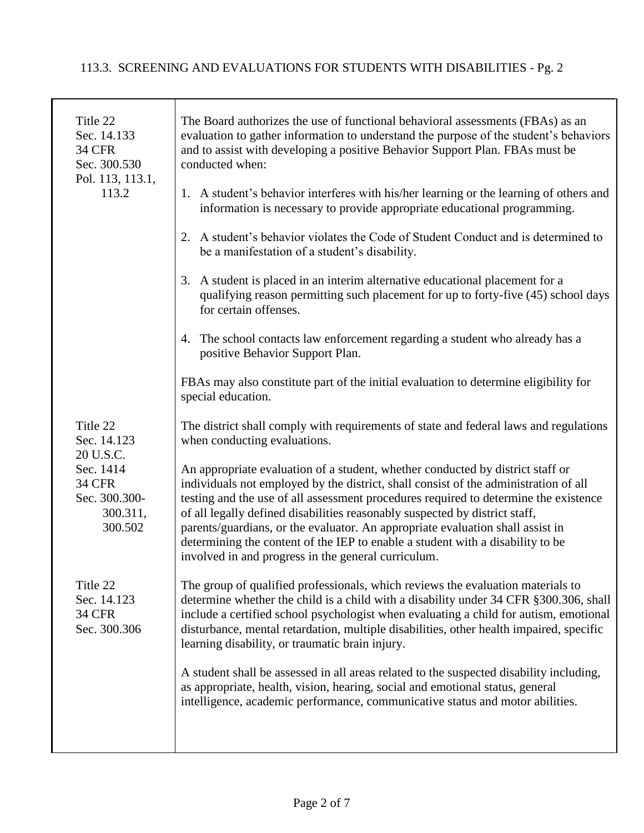## 113.3. SCREENING AND EVALUATIONS FOR STUDENTS WITH DISABILITIES - Pg. 2

| Title 22<br>Sec. 14.133<br><b>34 CFR</b><br>Sec. 300.530<br>Pol. 113, 113.1, | The Board authorizes the use of functional behavioral assessments (FBAs) as an<br>evaluation to gather information to understand the purpose of the student's behaviors<br>and to assist with developing a positive Behavior Support Plan. FBAs must be<br>conducted when:                                                                                                                                                                                                                                                                                               |
|------------------------------------------------------------------------------|--------------------------------------------------------------------------------------------------------------------------------------------------------------------------------------------------------------------------------------------------------------------------------------------------------------------------------------------------------------------------------------------------------------------------------------------------------------------------------------------------------------------------------------------------------------------------|
| 113.2                                                                        | 1. A student's behavior interferes with his/her learning or the learning of others and<br>information is necessary to provide appropriate educational programming.                                                                                                                                                                                                                                                                                                                                                                                                       |
|                                                                              | 2. A student's behavior violates the Code of Student Conduct and is determined to<br>be a manifestation of a student's disability.                                                                                                                                                                                                                                                                                                                                                                                                                                       |
|                                                                              | 3. A student is placed in an interim alternative educational placement for a<br>qualifying reason permitting such placement for up to forty-five (45) school days<br>for certain offenses.                                                                                                                                                                                                                                                                                                                                                                               |
|                                                                              | 4. The school contacts law enforcement regarding a student who already has a<br>positive Behavior Support Plan.                                                                                                                                                                                                                                                                                                                                                                                                                                                          |
|                                                                              | FBAs may also constitute part of the initial evaluation to determine eligibility for<br>special education.                                                                                                                                                                                                                                                                                                                                                                                                                                                               |
| Title 22<br>Sec. 14.123<br>20 U.S.C.                                         | The district shall comply with requirements of state and federal laws and regulations<br>when conducting evaluations.                                                                                                                                                                                                                                                                                                                                                                                                                                                    |
| Sec. 1414<br><b>34 CFR</b><br>Sec. 300.300-<br>300.311,<br>300.502           | An appropriate evaluation of a student, whether conducted by district staff or<br>individuals not employed by the district, shall consist of the administration of all<br>testing and the use of all assessment procedures required to determine the existence<br>of all legally defined disabilities reasonably suspected by district staff,<br>parents/guardians, or the evaluator. An appropriate evaluation shall assist in<br>determining the content of the IEP to enable a student with a disability to be<br>involved in and progress in the general curriculum. |
| Title 22<br>Sec. 14.123<br><b>34 CFR</b><br>Sec. 300.306                     | The group of qualified professionals, which reviews the evaluation materials to<br>determine whether the child is a child with a disability under 34 CFR §300.306, shall<br>include a certified school psychologist when evaluating a child for autism, emotional<br>disturbance, mental retardation, multiple disabilities, other health impaired, specific<br>learning disability, or traumatic brain injury.                                                                                                                                                          |
|                                                                              | A student shall be assessed in all areas related to the suspected disability including,<br>as appropriate, health, vision, hearing, social and emotional status, general<br>intelligence, academic performance, communicative status and motor abilities.                                                                                                                                                                                                                                                                                                                |
|                                                                              |                                                                                                                                                                                                                                                                                                                                                                                                                                                                                                                                                                          |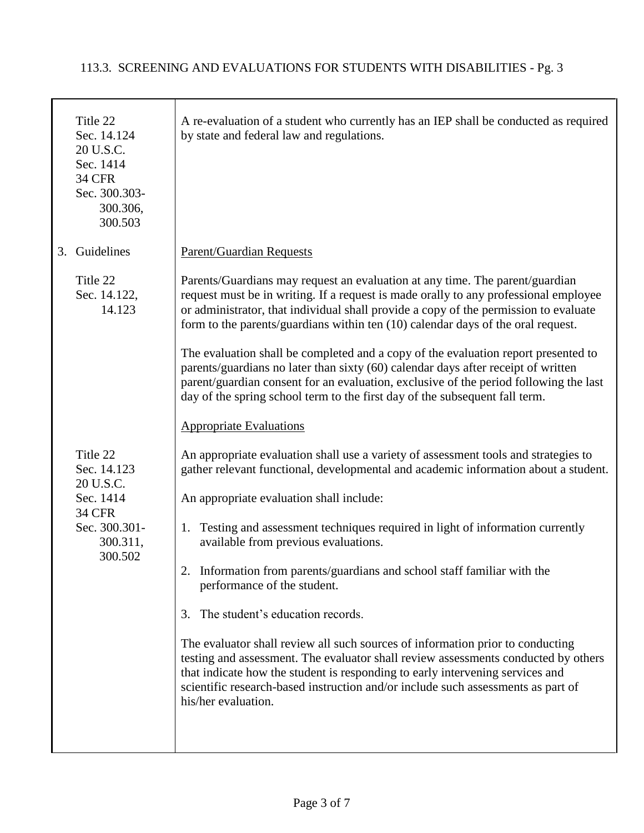|    | Title 22<br>Sec. 14.124<br>20 U.S.C.<br>Sec. 1414<br><b>34 CFR</b><br>Sec. 300.303-<br>300.306,<br>300.503 | A re-evaluation of a student who currently has an IEP shall be conducted as required<br>by state and federal law and regulations.                                                                                                                                                                                                                                |
|----|------------------------------------------------------------------------------------------------------------|------------------------------------------------------------------------------------------------------------------------------------------------------------------------------------------------------------------------------------------------------------------------------------------------------------------------------------------------------------------|
| 3. | Guidelines                                                                                                 | <b>Parent/Guardian Requests</b>                                                                                                                                                                                                                                                                                                                                  |
|    | Title 22<br>Sec. 14.122,<br>14.123                                                                         | Parents/Guardians may request an evaluation at any time. The parent/guardian<br>request must be in writing. If a request is made orally to any professional employee<br>or administrator, that individual shall provide a copy of the permission to evaluate<br>form to the parents/guardians within ten (10) calendar days of the oral request.                 |
|    |                                                                                                            | The evaluation shall be completed and a copy of the evaluation report presented to<br>parents/guardians no later than sixty (60) calendar days after receipt of written<br>parent/guardian consent for an evaluation, exclusive of the period following the last<br>day of the spring school term to the first day of the subsequent fall term.                  |
|    |                                                                                                            | <b>Appropriate Evaluations</b>                                                                                                                                                                                                                                                                                                                                   |
|    | Title 22<br>Sec. 14.123<br>20 U.S.C.                                                                       | An appropriate evaluation shall use a variety of assessment tools and strategies to<br>gather relevant functional, developmental and academic information about a student.                                                                                                                                                                                       |
|    | Sec. 1414<br><b>34 CFR</b><br>Sec. 300.301-<br>300.311,<br>300.502                                         | An appropriate evaluation shall include:                                                                                                                                                                                                                                                                                                                         |
|    |                                                                                                            | Testing and assessment techniques required in light of information currently<br>1.<br>available from previous evaluations.                                                                                                                                                                                                                                       |
|    |                                                                                                            | 2. Information from parents/guardians and school staff familiar with the<br>performance of the student.                                                                                                                                                                                                                                                          |
|    |                                                                                                            | The student's education records.<br>3.                                                                                                                                                                                                                                                                                                                           |
|    |                                                                                                            | The evaluator shall review all such sources of information prior to conducting<br>testing and assessment. The evaluator shall review assessments conducted by others<br>that indicate how the student is responding to early intervening services and<br>scientific research-based instruction and/or include such assessments as part of<br>his/her evaluation. |
|    |                                                                                                            |                                                                                                                                                                                                                                                                                                                                                                  |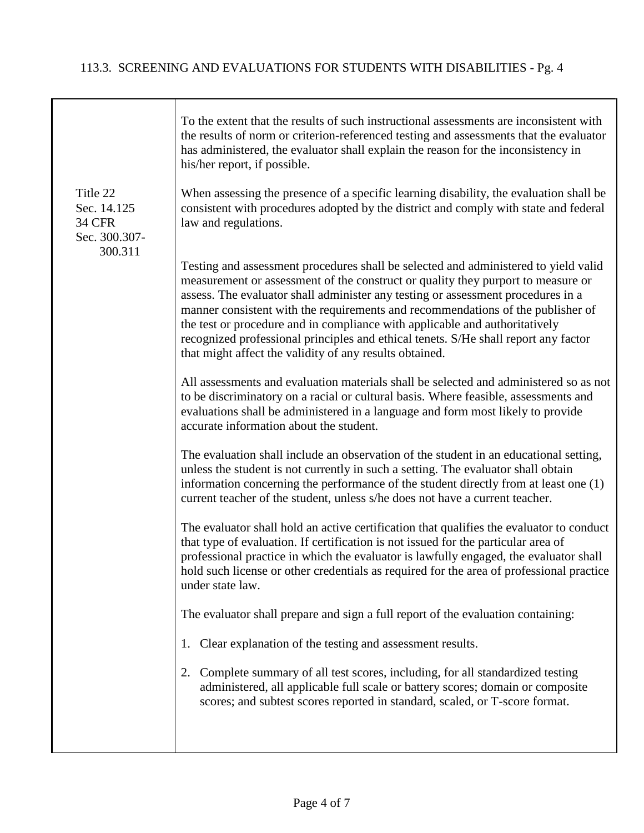┱

|                                                                      | To the extent that the results of such instructional assessments are inconsistent with<br>the results of norm or criterion-referenced testing and assessments that the evaluator<br>has administered, the evaluator shall explain the reason for the inconsistency in<br>his/her report, if possible.                                                                                                                                                                                                                                                                           |
|----------------------------------------------------------------------|---------------------------------------------------------------------------------------------------------------------------------------------------------------------------------------------------------------------------------------------------------------------------------------------------------------------------------------------------------------------------------------------------------------------------------------------------------------------------------------------------------------------------------------------------------------------------------|
| Title 22<br>Sec. 14.125<br><b>34 CFR</b><br>Sec. 300.307-<br>300.311 | When assessing the presence of a specific learning disability, the evaluation shall be<br>consistent with procedures adopted by the district and comply with state and federal<br>law and regulations.                                                                                                                                                                                                                                                                                                                                                                          |
|                                                                      | Testing and assessment procedures shall be selected and administered to yield valid<br>measurement or assessment of the construct or quality they purport to measure or<br>assess. The evaluator shall administer any testing or assessment procedures in a<br>manner consistent with the requirements and recommendations of the publisher of<br>the test or procedure and in compliance with applicable and authoritatively<br>recognized professional principles and ethical tenets. S/He shall report any factor<br>that might affect the validity of any results obtained. |
|                                                                      | All assessments and evaluation materials shall be selected and administered so as not<br>to be discriminatory on a racial or cultural basis. Where feasible, assessments and<br>evaluations shall be administered in a language and form most likely to provide<br>accurate information about the student.                                                                                                                                                                                                                                                                      |
|                                                                      | The evaluation shall include an observation of the student in an educational setting,<br>unless the student is not currently in such a setting. The evaluator shall obtain<br>information concerning the performance of the student directly from at least one (1)<br>current teacher of the student, unless s/he does not have a current teacher.                                                                                                                                                                                                                              |
|                                                                      | The evaluator shall hold an active certification that qualifies the evaluator to conduct<br>that type of evaluation. If certification is not issued for the particular area of<br>professional practice in which the evaluator is lawfully engaged, the evaluator shall<br>hold such license or other credentials as required for the area of professional practice<br>under state law.                                                                                                                                                                                         |
|                                                                      | The evaluator shall prepare and sign a full report of the evaluation containing:                                                                                                                                                                                                                                                                                                                                                                                                                                                                                                |
|                                                                      | 1. Clear explanation of the testing and assessment results.                                                                                                                                                                                                                                                                                                                                                                                                                                                                                                                     |
|                                                                      | Complete summary of all test scores, including, for all standardized testing<br>2.<br>administered, all applicable full scale or battery scores; domain or composite<br>scores; and subtest scores reported in standard, scaled, or T-score format.                                                                                                                                                                                                                                                                                                                             |
|                                                                      |                                                                                                                                                                                                                                                                                                                                                                                                                                                                                                                                                                                 |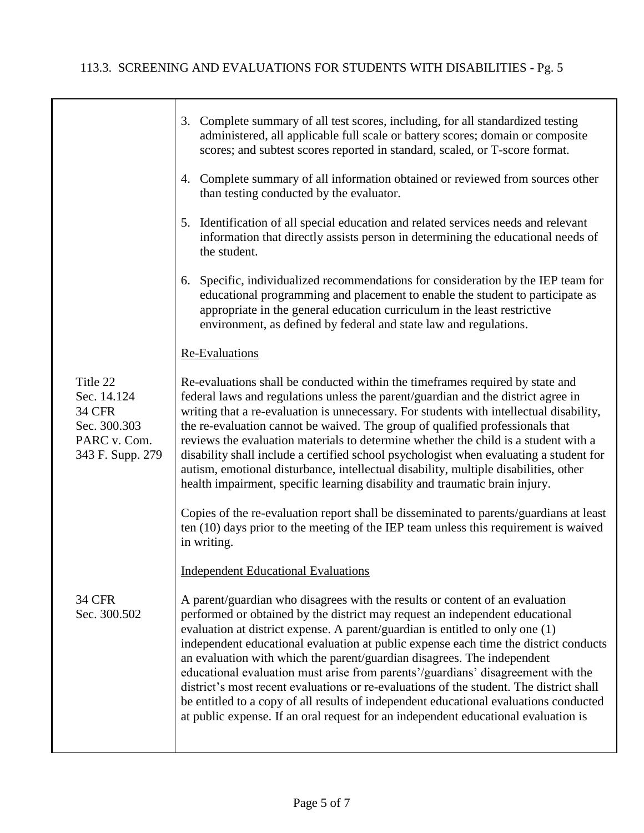|                                                                                              | 3. Complete summary of all test scores, including, for all standardized testing<br>administered, all applicable full scale or battery scores; domain or composite<br>scores; and subtest scores reported in standard, scaled, or T-score format.                                                                                                                                                                                                                                                                                                                                                                                                                                                                                                                               |
|----------------------------------------------------------------------------------------------|--------------------------------------------------------------------------------------------------------------------------------------------------------------------------------------------------------------------------------------------------------------------------------------------------------------------------------------------------------------------------------------------------------------------------------------------------------------------------------------------------------------------------------------------------------------------------------------------------------------------------------------------------------------------------------------------------------------------------------------------------------------------------------|
|                                                                                              | 4. Complete summary of all information obtained or reviewed from sources other<br>than testing conducted by the evaluator.                                                                                                                                                                                                                                                                                                                                                                                                                                                                                                                                                                                                                                                     |
|                                                                                              | 5. Identification of all special education and related services needs and relevant<br>information that directly assists person in determining the educational needs of<br>the student.                                                                                                                                                                                                                                                                                                                                                                                                                                                                                                                                                                                         |
|                                                                                              | 6. Specific, individualized recommendations for consideration by the IEP team for<br>educational programming and placement to enable the student to participate as<br>appropriate in the general education curriculum in the least restrictive<br>environment, as defined by federal and state law and regulations.                                                                                                                                                                                                                                                                                                                                                                                                                                                            |
|                                                                                              | <b>Re-Evaluations</b>                                                                                                                                                                                                                                                                                                                                                                                                                                                                                                                                                                                                                                                                                                                                                          |
| Title 22<br>Sec. 14.124<br><b>34 CFR</b><br>Sec. 300.303<br>PARC v. Com.<br>343 F. Supp. 279 | Re-evaluations shall be conducted within the timeframes required by state and<br>federal laws and regulations unless the parent/guardian and the district agree in<br>writing that a re-evaluation is unnecessary. For students with intellectual disability,<br>the re-evaluation cannot be waived. The group of qualified professionals that<br>reviews the evaluation materials to determine whether the child is a student with a<br>disability shall include a certified school psychologist when evaluating a student for<br>autism, emotional disturbance, intellectual disability, multiple disabilities, other<br>health impairment, specific learning disability and traumatic brain injury.                                                                         |
|                                                                                              | Copies of the re-evaluation report shall be disseminated to parents/guardians at least<br>ten (10) days prior to the meeting of the IEP team unless this requirement is waived<br>in writing.                                                                                                                                                                                                                                                                                                                                                                                                                                                                                                                                                                                  |
|                                                                                              | <b>Independent Educational Evaluations</b>                                                                                                                                                                                                                                                                                                                                                                                                                                                                                                                                                                                                                                                                                                                                     |
| <b>34 CFR</b><br>Sec. 300.502                                                                | A parent/guardian who disagrees with the results or content of an evaluation<br>performed or obtained by the district may request an independent educational<br>evaluation at district expense. A parent/guardian is entitled to only one (1)<br>independent educational evaluation at public expense each time the district conducts<br>an evaluation with which the parent/guardian disagrees. The independent<br>educational evaluation must arise from parents'/guardians' disagreement with the<br>district's most recent evaluations or re-evaluations of the student. The district shall<br>be entitled to a copy of all results of independent educational evaluations conducted<br>at public expense. If an oral request for an independent educational evaluation is |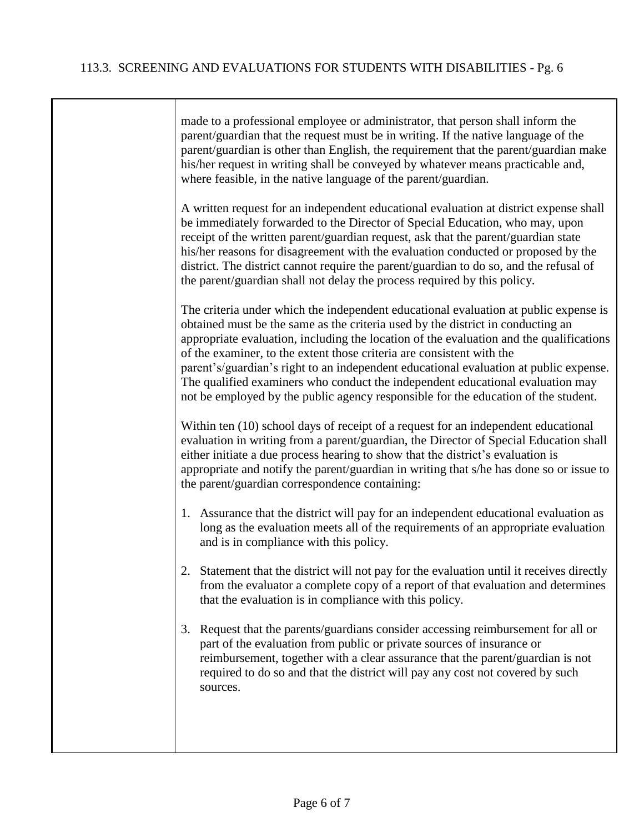| made to a professional employee or administrator, that person shall inform the<br>parent/guardian that the request must be in writing. If the native language of the<br>parent/guardian is other than English, the requirement that the parent/guardian make<br>his/her request in writing shall be conveyed by whatever means practicable and,<br>where feasible, in the native language of the parent/guardian.                                                                                                                                                                                            |
|--------------------------------------------------------------------------------------------------------------------------------------------------------------------------------------------------------------------------------------------------------------------------------------------------------------------------------------------------------------------------------------------------------------------------------------------------------------------------------------------------------------------------------------------------------------------------------------------------------------|
| A written request for an independent educational evaluation at district expense shall<br>be immediately forwarded to the Director of Special Education, who may, upon<br>receipt of the written parent/guardian request, ask that the parent/guardian state<br>his/her reasons for disagreement with the evaluation conducted or proposed by the<br>district. The district cannot require the parent/guardian to do so, and the refusal of<br>the parent/guardian shall not delay the process required by this policy.                                                                                       |
| The criteria under which the independent educational evaluation at public expense is<br>obtained must be the same as the criteria used by the district in conducting an<br>appropriate evaluation, including the location of the evaluation and the qualifications<br>of the examiner, to the extent those criteria are consistent with the<br>parent's/guardian's right to an independent educational evaluation at public expense.<br>The qualified examiners who conduct the independent educational evaluation may<br>not be employed by the public agency responsible for the education of the student. |
| Within ten (10) school days of receipt of a request for an independent educational<br>evaluation in writing from a parent/guardian, the Director of Special Education shall<br>either initiate a due process hearing to show that the district's evaluation is<br>appropriate and notify the parent/guardian in writing that s/he has done so or issue to<br>the parent/guardian correspondence containing:                                                                                                                                                                                                  |
| 1. Assurance that the district will pay for an independent educational evaluation as<br>long as the evaluation meets all of the requirements of an appropriate evaluation<br>and is in compliance with this policy.                                                                                                                                                                                                                                                                                                                                                                                          |
| 2. Statement that the district will not pay for the evaluation until it receives directly<br>from the evaluator a complete copy of a report of that evaluation and determines<br>that the evaluation is in compliance with this policy.                                                                                                                                                                                                                                                                                                                                                                      |
| Request that the parents/guardians consider accessing reimbursement for all or<br>3.<br>part of the evaluation from public or private sources of insurance or<br>reimbursement, together with a clear assurance that the parent/guardian is not<br>required to do so and that the district will pay any cost not covered by such<br>sources.                                                                                                                                                                                                                                                                 |
|                                                                                                                                                                                                                                                                                                                                                                                                                                                                                                                                                                                                              |